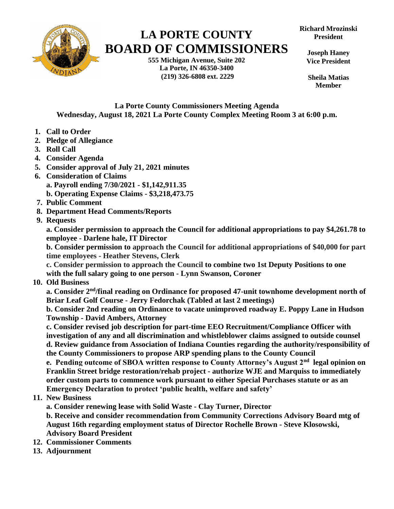

## **LA PORTE COUNTY BOARD OF COMMISSIONERS**

**555 Michigan Avenue, Suite 202 La Porte, IN 46350-3400 (219) 326-6808 ext. 2229**

**Richard Mrozinski President**

**Joseph Haney Vice President**

**Sheila Matias Member**

**La Porte County Commissioners Meeting Agenda Wednesday, August 18, 2021 La Porte County Complex Meeting Room 3 at 6:00 p.m.**

- **1. Call to Order**
- **2. Pledge of Allegiance**
- **3. Roll Call**
- **4. Consider Agenda**
- **5. Consider approval of July 21, 2021 minutes**
- **6. Consideration of Claims a. Payroll ending 7/30/2021 - \$1,142,911.35 b. Operating Expense Claims - \$3,218,473.75**
- **7. Public Comment**
- **8. Department Head Comments/Reports**
- **9. Requests**

**a. Consider permission to approach the Council for additional appropriations to pay \$4,261.78 to employee - Darlene hale, IT Director**

**b. Consider permission to approach the Council for additional appropriations of \$40,000 for part time employees - Heather Stevens, Clerk**

**c. Consider permission to approach the Council to combine two 1st Deputy Positions to one with the full salary going to one person - Lynn Swanson, Coroner**

 **10. Old Business**

a. Consider 2<sup>nd</sup>/final reading on Ordinance for proposed 47-unit townhome development north of **Briar Leaf Golf Course - Jerry Fedorchak (Tabled at last 2 meetings)**

**b. Consider 2nd reading on Ordinance to vacate unimproved roadway E. Poppy Lane in Hudson Township - David Ambers, Attorney** 

**c. Consider revised job description for part-time EEO Recruitment/Compliance Officer with investigation of any and all discrimination and whistleblower claims assigned to outside counsel d. Review guidance from Association of Indiana Counties regarding the authority/responsibility of the County Commissioners to propose ARP spending plans to the County Council**

**e. Pending outcome of SBOA written response to County Attorney's August 2nd legal opinion on Franklin Street bridge restoration/rehab project - authorize WJE and Marquiss to immediately order custom parts to commence work pursuant to either Special Purchases statute or as an Emergency Declaration to protect 'public health, welfare and safety'**

## **11. New Business**

**a. Consider renewing lease with Solid Waste - Clay Turner, Director**

**b. Receive and consider recommendation from Community Corrections Advisory Board mtg of August 16th regarding employment status of Director Rochelle Brown - Steve Klosowski, Advisory Board President** 

- **12. Commissioner Comments**
- **13. Adjournment**